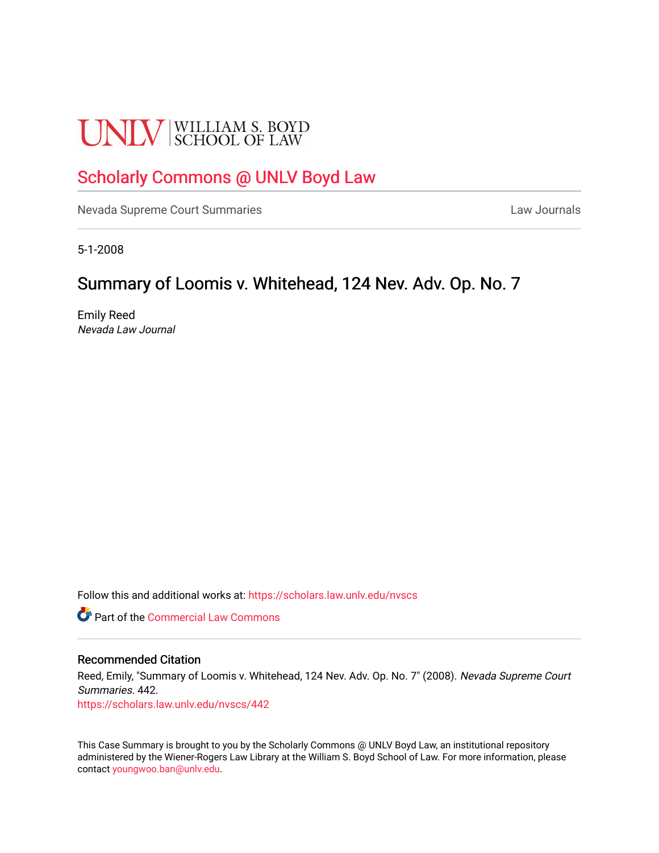# **UNLV** SCHOOL OF LAW

## [Scholarly Commons @ UNLV Boyd Law](https://scholars.law.unlv.edu/)

[Nevada Supreme Court Summaries](https://scholars.law.unlv.edu/nvscs) **Law Journals** Law Journals

5-1-2008

# Summary of Loomis v. Whitehead, 124 Nev. Adv. Op. No. 7

Emily Reed Nevada Law Journal

Follow this and additional works at: [https://scholars.law.unlv.edu/nvscs](https://scholars.law.unlv.edu/nvscs?utm_source=scholars.law.unlv.edu%2Fnvscs%2F442&utm_medium=PDF&utm_campaign=PDFCoverPages)

**Part of the [Commercial Law Commons](http://network.bepress.com/hgg/discipline/586?utm_source=scholars.law.unlv.edu%2Fnvscs%2F442&utm_medium=PDF&utm_campaign=PDFCoverPages)** 

#### Recommended Citation

Reed, Emily, "Summary of Loomis v. Whitehead, 124 Nev. Adv. Op. No. 7" (2008). Nevada Supreme Court Summaries. 442.

[https://scholars.law.unlv.edu/nvscs/442](https://scholars.law.unlv.edu/nvscs/442?utm_source=scholars.law.unlv.edu%2Fnvscs%2F442&utm_medium=PDF&utm_campaign=PDFCoverPages)

This Case Summary is brought to you by the Scholarly Commons @ UNLV Boyd Law, an institutional repository administered by the Wiener-Rogers Law Library at the William S. Boyd School of Law. For more information, please contact [youngwoo.ban@unlv.edu](mailto:youngwoo.ban@unlv.edu).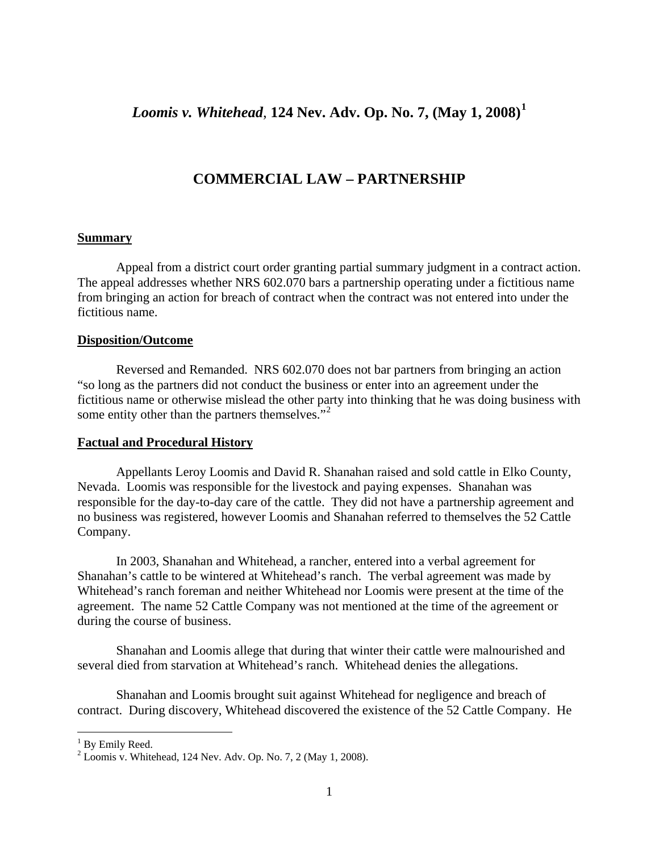## *Loomis v. Whitehead*, **124 Nev. Adv. Op. No. 7, (May 1, 2008)[1](#page-1-0)**

## **COMMERCIAL LAW – PARTNERSHIP**

#### **Summary**

Appeal from a district court order granting partial summary judgment in a contract action. The appeal addresses whether NRS 602.070 bars a partnership operating under a fictitious name from bringing an action for breach of contract when the contract was not entered into under the fictitious name.

#### **Disposition/Outcome**

Reversed and Remanded. NRS 602.070 does not bar partners from bringing an action "so long as the partners did not conduct the business or enter into an agreement under the fictitious name or otherwise mislead the other party into thinking that he was doing business with some entity other than the partners themselves."<sup>[2](#page-1-1)</sup>

#### **Factual and Procedural History**

Appellants Leroy Loomis and David R. Shanahan raised and sold cattle in Elko County, Nevada. Loomis was responsible for the livestock and paying expenses. Shanahan was responsible for the day-to-day care of the cattle. They did not have a partnership agreement and no business was registered, however Loomis and Shanahan referred to themselves the 52 Cattle Company.

In 2003, Shanahan and Whitehead, a rancher, entered into a verbal agreement for Shanahan's cattle to be wintered at Whitehead's ranch. The verbal agreement was made by Whitehead's ranch foreman and neither Whitehead nor Loomis were present at the time of the agreement. The name 52 Cattle Company was not mentioned at the time of the agreement or during the course of business.

Shanahan and Loomis allege that during that winter their cattle were malnourished and several died from starvation at Whitehead's ranch. Whitehead denies the allegations.

Shanahan and Loomis brought suit against Whitehead for negligence and breach of contract. During discovery, Whitehead discovered the existence of the 52 Cattle Company. He

 $\overline{a}$ 

<span id="page-1-0"></span><sup>&</sup>lt;sup>1</sup> By Emily Reed.

<span id="page-1-1"></span> $2$  Loomis v. Whitehead, 124 Nev. Adv. Op. No. 7, 2 (May 1, 2008).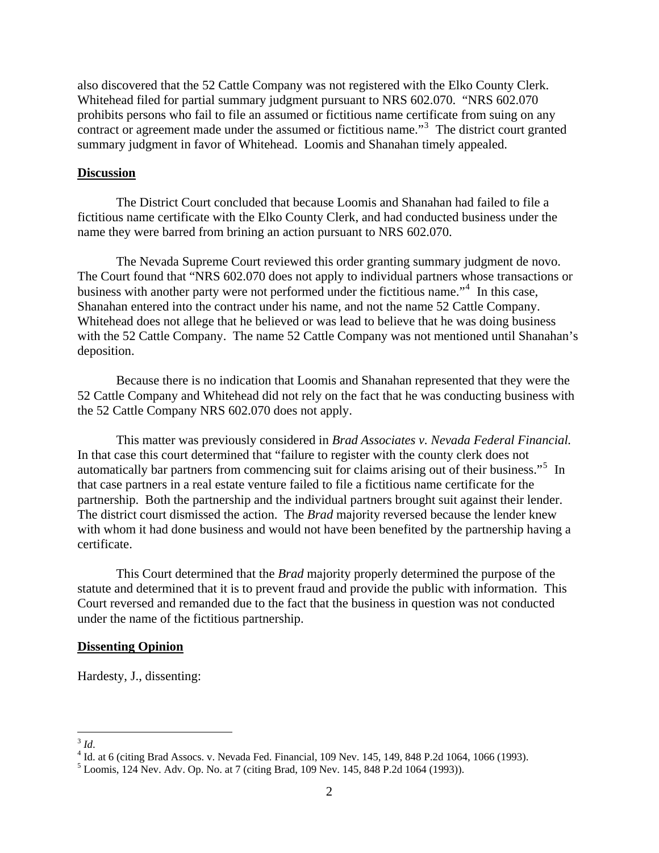also discovered that the 52 Cattle Company was not registered with the Elko County Clerk. Whitehead filed for partial summary judgment pursuant to NRS 602.070. "NRS 602.070 prohibits persons who fail to file an assumed or fictitious name certificate from suing on any contract or agreement made under the assumed or fictitious name."<sup>[3](#page-2-0)</sup> The district court granted summary judgment in favor of Whitehead. Loomis and Shanahan timely appealed.

#### **Discussion**

 The District Court concluded that because Loomis and Shanahan had failed to file a fictitious name certificate with the Elko County Clerk, and had conducted business under the name they were barred from brining an action pursuant to NRS 602.070.

 The Nevada Supreme Court reviewed this order granting summary judgment de novo. The Court found that "NRS 602.070 does not apply to individual partners whose transactions or business with another party were not performed under the fictitious name."<sup>[4](#page-2-1)</sup> In this case, Shanahan entered into the contract under his name, and not the name 52 Cattle Company. Whitehead does not allege that he believed or was lead to believe that he was doing business with the 52 Cattle Company. The name 52 Cattle Company was not mentioned until Shanahan's deposition.

 Because there is no indication that Loomis and Shanahan represented that they were the 52 Cattle Company and Whitehead did not rely on the fact that he was conducting business with the 52 Cattle Company NRS 602.070 does not apply.

 This matter was previously considered in *Brad Associates v. Nevada Federal Financial.* In that case this court determined that "failure to register with the county clerk does not automatically bar partners from commencing suit for claims arising out of their business."<sup>[5](#page-2-2)</sup> In that case partners in a real estate venture failed to file a fictitious name certificate for the partnership. Both the partnership and the individual partners brought suit against their lender. The district court dismissed the action. The *Brad* majority reversed because the lender knew with whom it had done business and would not have been benefited by the partnership having a certificate.

 This Court determined that the *Brad* majority properly determined the purpose of the statute and determined that it is to prevent fraud and provide the public with information. This Court reversed and remanded due to the fact that the business in question was not conducted under the name of the fictitious partnership.

#### **Dissenting Opinion**

Hardesty, J., dissenting:

 $\overline{a}$  $^{3}$  *Id*.<br><sup>4</sup> L<sup>1</sup>

<span id="page-2-1"></span><span id="page-2-0"></span><sup>&</sup>lt;sup>4</sup> Id. at 6 (citing Brad Assocs. v. Nevada Fed. Financial, 109 Nev. 145, 149, 848 P.2d 1064, 1066 (1993).

<span id="page-2-2"></span> $5$  Loomis, 124 Nev. Adv. Op. No. at 7 (citing Brad, 109 Nev. 145, 848 P.2d 1064 (1993)).